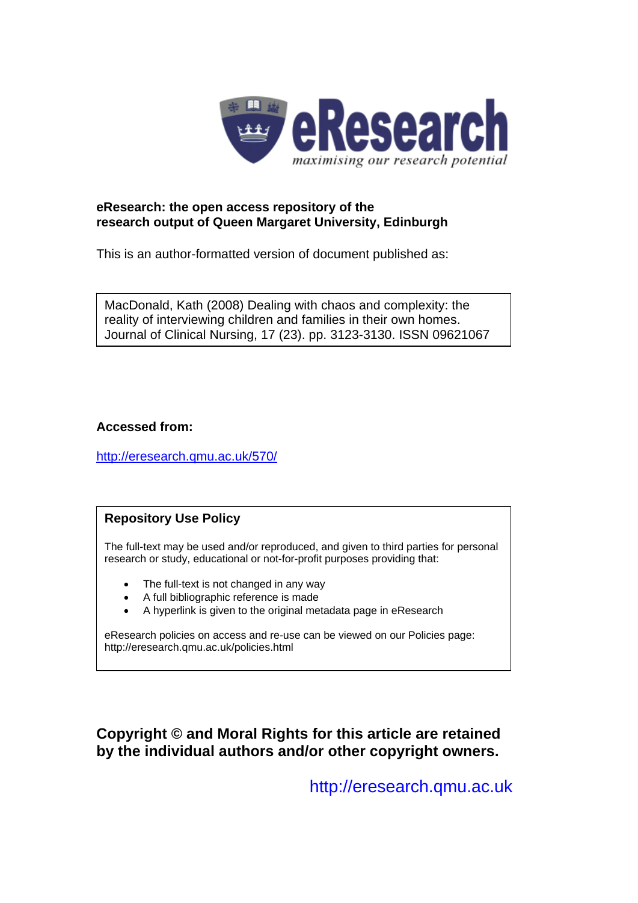

## **eResearch: the open access repository of the research output of Queen Margaret University, Edinburgh**

This is an author-formatted version of document published as:

MacDonald, Kath (2008) Dealing with chaos and complexity: the reality of interviewing children and families in their own homes. Journal of Clinical Nursing, 17 (23). pp. 3123-3130. ISSN 09621067

# **Accessed from:**

<http://eresearch.qmu.ac.uk/570/>

# **Repository Use Policy**

The full-text may be used and/or reproduced, and given to third parties for personal research or study, educational or not-for-profit purposes providing that:

- The full-text is not changed in any way
- A full bibliographic reference is made
- A hyperlink is given to the original metadata page in eResearch

eResearch policies on access and re-use can be viewed on our Policies page: <http://eresearch.qmu.ac.uk/policies.html>

**Copyright © and Moral Rights for this article are retained by the individual authors and/or other copyright owners.** 

[http://eresearch.qmu.ac.uk](http://eresearch.qmu.ac.uk/)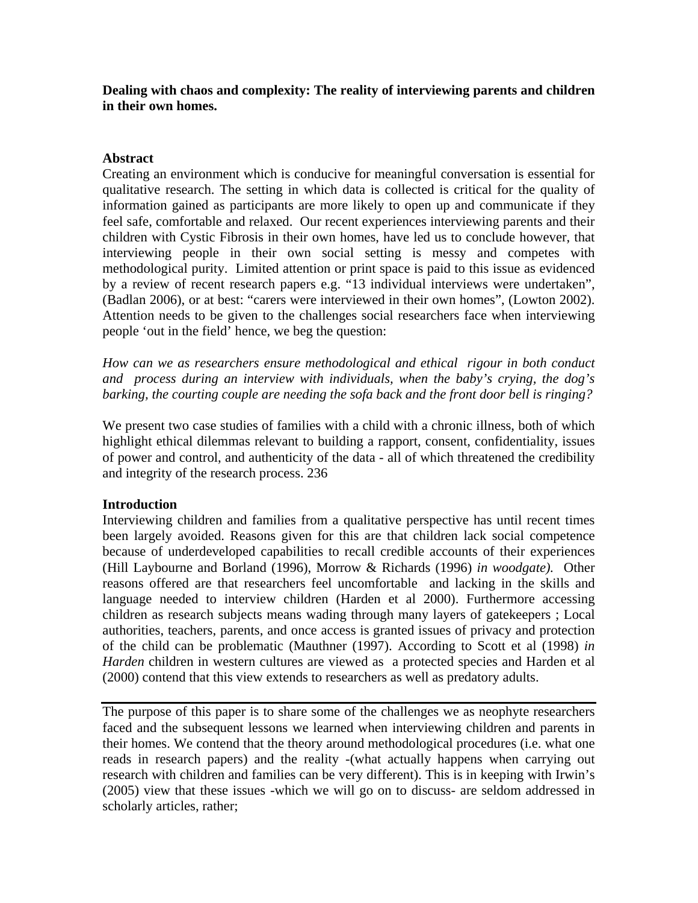**Dealing with chaos and complexity: The reality of interviewing parents and children in their own homes.** 

#### **Abstract**

Creating an environment which is conducive for meaningful conversation is essential for qualitative research. The setting in which data is collected is critical for the quality of information gained as participants are more likely to open up and communicate if they feel safe, comfortable and relaxed. Our recent experiences interviewing parents and their children with Cystic Fibrosis in their own homes, have led us to conclude however, that interviewing people in their own social setting is messy and competes with methodological purity. Limited attention or print space is paid to this issue as evidenced by a review of recent research papers e.g. "13 individual interviews were undertaken", (Badlan 2006), or at best: "carers were interviewed in their own homes", (Lowton 2002). Attention needs to be given to the challenges social researchers face when interviewing people 'out in the field' hence, we beg the question:

*How can we as researchers ensure methodological and ethical rigour in both conduct and process during an interview with individuals, when the baby's crying, the dog's barking, the courting couple are needing the sofa back and the front door bell is ringing?* 

We present two case studies of families with a child with a chronic illness, both of which highlight ethical dilemmas relevant to building a rapport, consent, confidentiality, issues of power and control, and authenticity of the data - all of which threatened the credibility and integrity of the research process. 236

### **Introduction**

Interviewing children and families from a qualitative perspective has until recent times been largely avoided. Reasons given for this are that children lack social competence because of underdeveloped capabilities to recall credible accounts of their experiences (Hill Laybourne and Borland (1996), Morrow & Richards (1996) *in woodgate).* Other reasons offered are that researchers feel uncomfortable and lacking in the skills and language needed to interview children (Harden et al 2000). Furthermore accessing children as research subjects means wading through many layers of gatekeepers ; Local authorities, teachers, parents, and once access is granted issues of privacy and protection of the child can be problematic (Mauthner (1997). According to Scott et al (1998) *in Harden* children in western cultures are viewed as a protected species and Harden et al (2000) contend that this view extends to researchers as well as predatory adults.

The purpose of this paper is to share some of the challenges we as neophyte researchers faced and the subsequent lessons we learned when interviewing children and parents in their homes. We contend that the theory around methodological procedures (i.e. what one reads in research papers) and the reality -(what actually happens when carrying out research with children and families can be very different). This is in keeping with Irwin's (2005) view that these issues -which we will go on to discuss- are seldom addressed in scholarly articles, rather;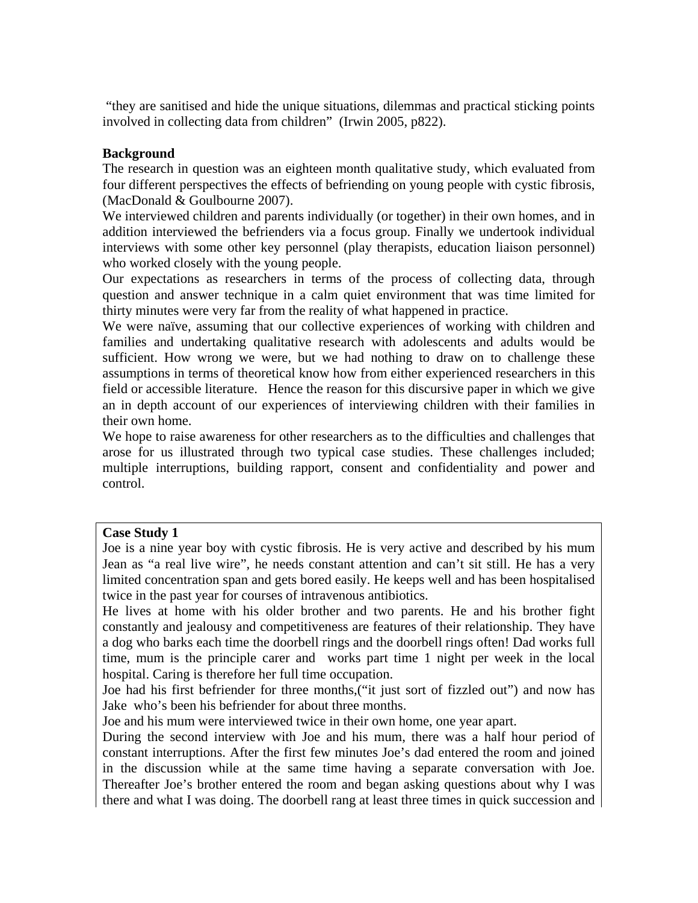"they are sanitised and hide the unique situations, dilemmas and practical sticking points involved in collecting data from children" (Irwin 2005, p822).

### **Background**

The research in question was an eighteen month qualitative study, which evaluated from four different perspectives the effects of befriending on young people with cystic fibrosis, (MacDonald & Goulbourne 2007).

We interviewed children and parents individually (or together) in their own homes, and in addition interviewed the befrienders via a focus group. Finally we undertook individual interviews with some other key personnel (play therapists, education liaison personnel) who worked closely with the young people.

Our expectations as researchers in terms of the process of collecting data, through question and answer technique in a calm quiet environment that was time limited for thirty minutes were very far from the reality of what happened in practice.

We were naïve, assuming that our collective experiences of working with children and families and undertaking qualitative research with adolescents and adults would be sufficient. How wrong we were, but we had nothing to draw on to challenge these assumptions in terms of theoretical know how from either experienced researchers in this field or accessible literature. Hence the reason for this discursive paper in which we give an in depth account of our experiences of interviewing children with their families in their own home.

We hope to raise awareness for other researchers as to the difficulties and challenges that arose for us illustrated through two typical case studies. These challenges included; multiple interruptions, building rapport, consent and confidentiality and power and control.

### **Case Study 1**

Joe is a nine year boy with cystic fibrosis. He is very active and described by his mum Jean as "a real live wire", he needs constant attention and can't sit still. He has a very limited concentration span and gets bored easily. He keeps well and has been hospitalised twice in the past year for courses of intravenous antibiotics.

He lives at home with his older brother and two parents. He and his brother fight constantly and jealousy and competitiveness are features of their relationship. They have a dog who barks each time the doorbell rings and the doorbell rings often! Dad works full time, mum is the principle carer and works part time 1 night per week in the local hospital. Caring is therefore her full time occupation.

Joe had his first befriender for three months,("it just sort of fizzled out") and now has Jake who's been his befriender for about three months.

Joe and his mum were interviewed twice in their own home, one year apart.

During the second interview with Joe and his mum, there was a half hour period of constant interruptions. After the first few minutes Joe's dad entered the room and joined in the discussion while at the same time having a separate conversation with Joe. Thereafter Joe's brother entered the room and began asking questions about why I was there and what I was doing. The doorbell rang at least three times in quick succession and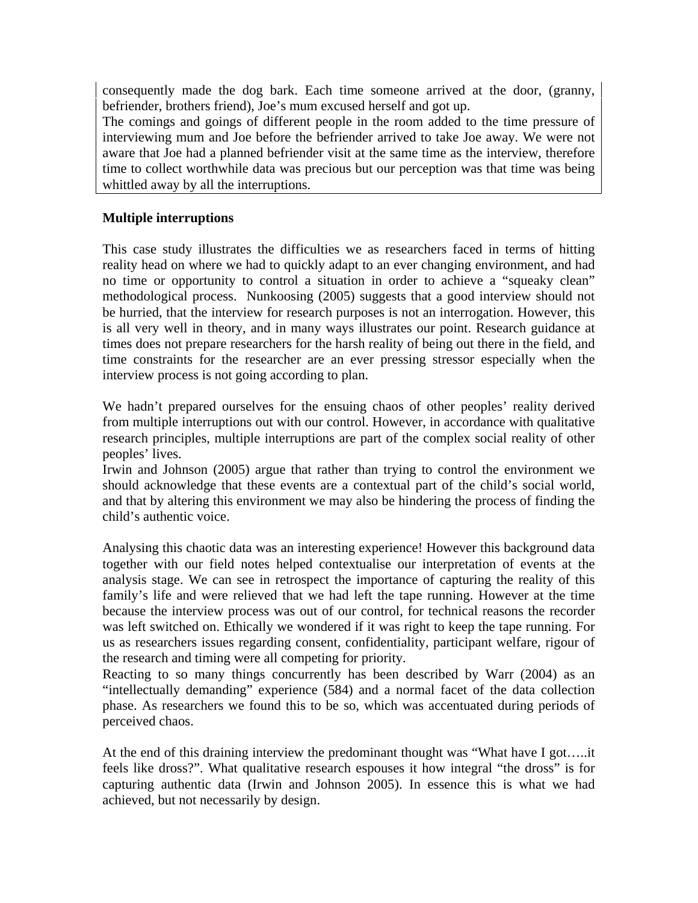consequently made the dog bark. Each time someone arrived at the door, (granny, befriender, brothers friend), Joe's mum excused herself and got up.

The comings and goings of different people in the room added to the time pressure of interviewing mum and Joe before the befriender arrived to take Joe away. We were not aware that Joe had a planned befriender visit at the same time as the interview, therefore time to collect worthwhile data was precious but our perception was that time was being whittled away by all the interruptions.

### **Multiple interruptions**

This case study illustrates the difficulties we as researchers faced in terms of hitting reality head on where we had to quickly adapt to an ever changing environment, and had no time or opportunity to control a situation in order to achieve a "squeaky clean" methodological process. Nunkoosing (2005) suggests that a good interview should not be hurried, that the interview for research purposes is not an interrogation. However, this is all very well in theory, and in many ways illustrates our point. Research guidance at times does not prepare researchers for the harsh reality of being out there in the field, and time constraints for the researcher are an ever pressing stressor especially when the interview process is not going according to plan.

We hadn't prepared ourselves for the ensuing chaos of other peoples' reality derived from multiple interruptions out with our control. However, in accordance with qualitative research principles, multiple interruptions are part of the complex social reality of other peoples' lives.

Irwin and Johnson (2005) argue that rather than trying to control the environment we should acknowledge that these events are a contextual part of the child's social world, and that by altering this environment we may also be hindering the process of finding the child's authentic voice.

Analysing this chaotic data was an interesting experience! However this background data together with our field notes helped contextualise our interpretation of events at the analysis stage. We can see in retrospect the importance of capturing the reality of this family's life and were relieved that we had left the tape running. However at the time because the interview process was out of our control, for technical reasons the recorder was left switched on. Ethically we wondered if it was right to keep the tape running. For us as researchers issues regarding consent, confidentiality, participant welfare, rigour of the research and timing were all competing for priority.

Reacting to so many things concurrently has been described by Warr (2004) as an "intellectually demanding" experience (584) and a normal facet of the data collection phase. As researchers we found this to be so, which was accentuated during periods of perceived chaos.

At the end of this draining interview the predominant thought was "What have I got…..it feels like dross?". What qualitative research espouses it how integral "the dross" is for capturing authentic data (Irwin and Johnson 2005). In essence this is what we had achieved, but not necessarily by design.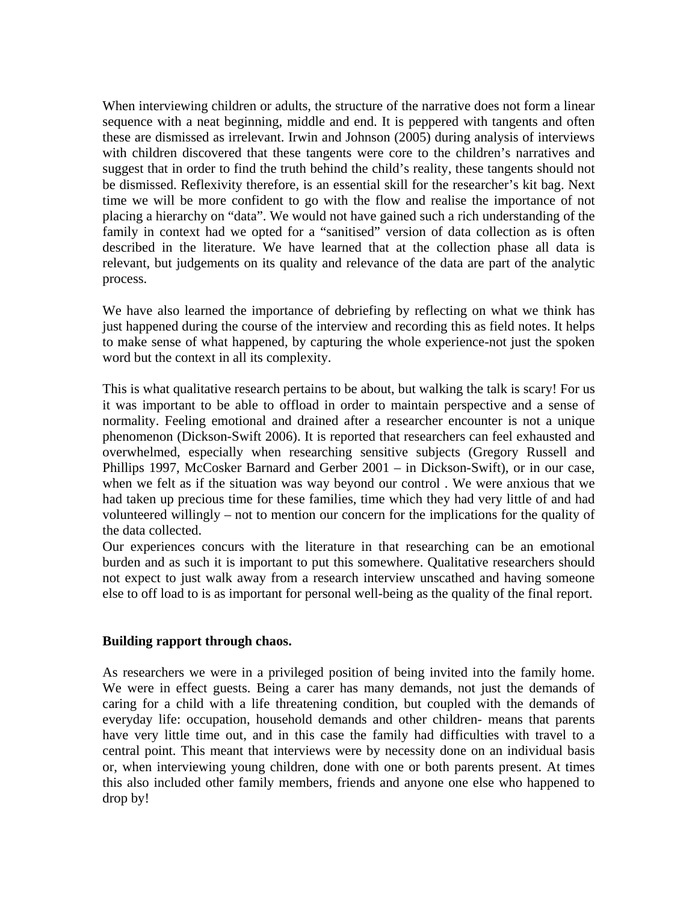When interviewing children or adults, the structure of the narrative does not form a linear sequence with a neat beginning, middle and end. It is peppered with tangents and often these are dismissed as irrelevant. Irwin and Johnson (2005) during analysis of interviews with children discovered that these tangents were core to the children's narratives and suggest that in order to find the truth behind the child's reality, these tangents should not be dismissed. Reflexivity therefore, is an essential skill for the researcher's kit bag. Next time we will be more confident to go with the flow and realise the importance of not placing a hierarchy on "data". We would not have gained such a rich understanding of the family in context had we opted for a "sanitised" version of data collection as is often described in the literature. We have learned that at the collection phase all data is relevant, but judgements on its quality and relevance of the data are part of the analytic process.

We have also learned the importance of debriefing by reflecting on what we think has just happened during the course of the interview and recording this as field notes. It helps to make sense of what happened, by capturing the whole experience-not just the spoken word but the context in all its complexity.

This is what qualitative research pertains to be about, but walking the talk is scary! For us it was important to be able to offload in order to maintain perspective and a sense of normality. Feeling emotional and drained after a researcher encounter is not a unique phenomenon (Dickson-Swift 2006). It is reported that researchers can feel exhausted and overwhelmed, especially when researching sensitive subjects (Gregory Russell and Phillips 1997, McCosker Barnard and Gerber 2001 – in Dickson-Swift), or in our case, when we felt as if the situation was way beyond our control . We were anxious that we had taken up precious time for these families, time which they had very little of and had volunteered willingly – not to mention our concern for the implications for the quality of the data collected.

Our experiences concurs with the literature in that researching can be an emotional burden and as such it is important to put this somewhere. Qualitative researchers should not expect to just walk away from a research interview unscathed and having someone else to off load to is as important for personal well-being as the quality of the final report.

### **Building rapport through chaos.**

As researchers we were in a privileged position of being invited into the family home. We were in effect guests. Being a carer has many demands, not just the demands of caring for a child with a life threatening condition, but coupled with the demands of everyday life: occupation, household demands and other children- means that parents have very little time out, and in this case the family had difficulties with travel to a central point. This meant that interviews were by necessity done on an individual basis or, when interviewing young children, done with one or both parents present. At times this also included other family members, friends and anyone one else who happened to drop by!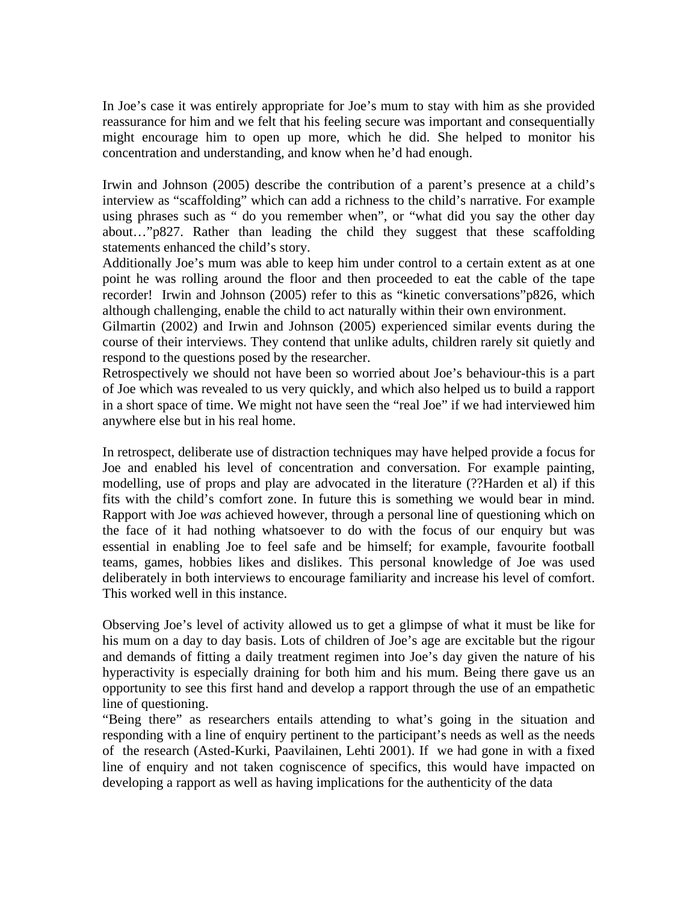In Joe's case it was entirely appropriate for Joe's mum to stay with him as she provided reassurance for him and we felt that his feeling secure was important and consequentially might encourage him to open up more, which he did. She helped to monitor his concentration and understanding, and know when he'd had enough.

Irwin and Johnson (2005) describe the contribution of a parent's presence at a child's interview as "scaffolding" which can add a richness to the child's narrative. For example using phrases such as " do you remember when", or "what did you say the other day about…"p827. Rather than leading the child they suggest that these scaffolding statements enhanced the child's story.

Additionally Joe's mum was able to keep him under control to a certain extent as at one point he was rolling around the floor and then proceeded to eat the cable of the tape recorder! Irwin and Johnson (2005) refer to this as "kinetic conversations"p826, which although challenging, enable the child to act naturally within their own environment.

Gilmartin (2002) and Irwin and Johnson (2005) experienced similar events during the course of their interviews. They contend that unlike adults, children rarely sit quietly and respond to the questions posed by the researcher.

Retrospectively we should not have been so worried about Joe's behaviour-this is a part of Joe which was revealed to us very quickly, and which also helped us to build a rapport in a short space of time. We might not have seen the "real Joe" if we had interviewed him anywhere else but in his real home.

In retrospect, deliberate use of distraction techniques may have helped provide a focus for Joe and enabled his level of concentration and conversation. For example painting, modelling, use of props and play are advocated in the literature (??Harden et al) if this fits with the child's comfort zone. In future this is something we would bear in mind. Rapport with Joe *was* achieved however, through a personal line of questioning which on the face of it had nothing whatsoever to do with the focus of our enquiry but was essential in enabling Joe to feel safe and be himself; for example, favourite football teams, games, hobbies likes and dislikes. This personal knowledge of Joe was used deliberately in both interviews to encourage familiarity and increase his level of comfort. This worked well in this instance.

Observing Joe's level of activity allowed us to get a glimpse of what it must be like for his mum on a day to day basis. Lots of children of Joe's age are excitable but the rigour and demands of fitting a daily treatment regimen into Joe's day given the nature of his hyperactivity is especially draining for both him and his mum. Being there gave us an opportunity to see this first hand and develop a rapport through the use of an empathetic line of questioning.

"Being there" as researchers entails attending to what's going in the situation and responding with a line of enquiry pertinent to the participant's needs as well as the needs of the research (Asted-Kurki, Paavilainen, Lehti 2001). If we had gone in with a fixed line of enquiry and not taken cogniscence of specifics, this would have impacted on developing a rapport as well as having implications for the authenticity of the data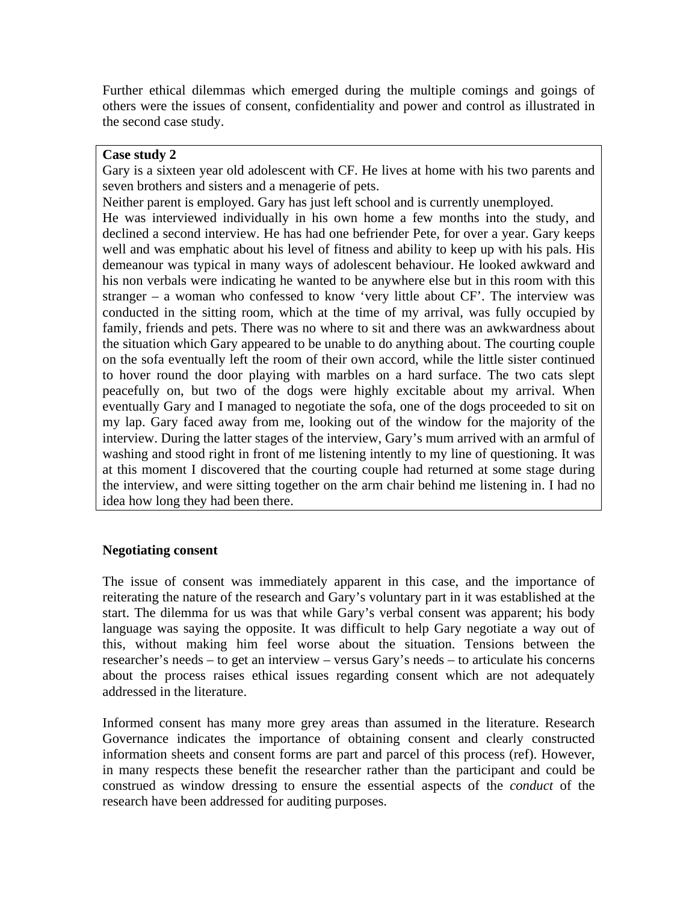Further ethical dilemmas which emerged during the multiple comings and goings of others were the issues of consent, confidentiality and power and control as illustrated in the second case study.

### **Case study 2**

Gary is a sixteen year old adolescent with CF. He lives at home with his two parents and seven brothers and sisters and a menagerie of pets.

Neither parent is employed. Gary has just left school and is currently unemployed.

He was interviewed individually in his own home a few months into the study, and declined a second interview. He has had one befriender Pete, for over a year. Gary keeps well and was emphatic about his level of fitness and ability to keep up with his pals. His demeanour was typical in many ways of adolescent behaviour. He looked awkward and his non verbals were indicating he wanted to be anywhere else but in this room with this stranger – a woman who confessed to know 'very little about CF'. The interview was conducted in the sitting room, which at the time of my arrival, was fully occupied by family, friends and pets. There was no where to sit and there was an awkwardness about the situation which Gary appeared to be unable to do anything about. The courting couple on the sofa eventually left the room of their own accord, while the little sister continued to hover round the door playing with marbles on a hard surface. The two cats slept peacefully on, but two of the dogs were highly excitable about my arrival. When eventually Gary and I managed to negotiate the sofa, one of the dogs proceeded to sit on my lap. Gary faced away from me, looking out of the window for the majority of the interview. During the latter stages of the interview, Gary's mum arrived with an armful of washing and stood right in front of me listening intently to my line of questioning. It was at this moment I discovered that the courting couple had returned at some stage during the interview, and were sitting together on the arm chair behind me listening in. I had no idea how long they had been there.

### **Negotiating consent**

The issue of consent was immediately apparent in this case, and the importance of reiterating the nature of the research and Gary's voluntary part in it was established at the start. The dilemma for us was that while Gary's verbal consent was apparent; his body language was saying the opposite. It was difficult to help Gary negotiate a way out of this, without making him feel worse about the situation. Tensions between the researcher's needs – to get an interview – versus Gary's needs – to articulate his concerns about the process raises ethical issues regarding consent which are not adequately addressed in the literature.

Informed consent has many more grey areas than assumed in the literature. Research Governance indicates the importance of obtaining consent and clearly constructed information sheets and consent forms are part and parcel of this process (ref). However, in many respects these benefit the researcher rather than the participant and could be construed as window dressing to ensure the essential aspects of the *conduct* of the research have been addressed for auditing purposes.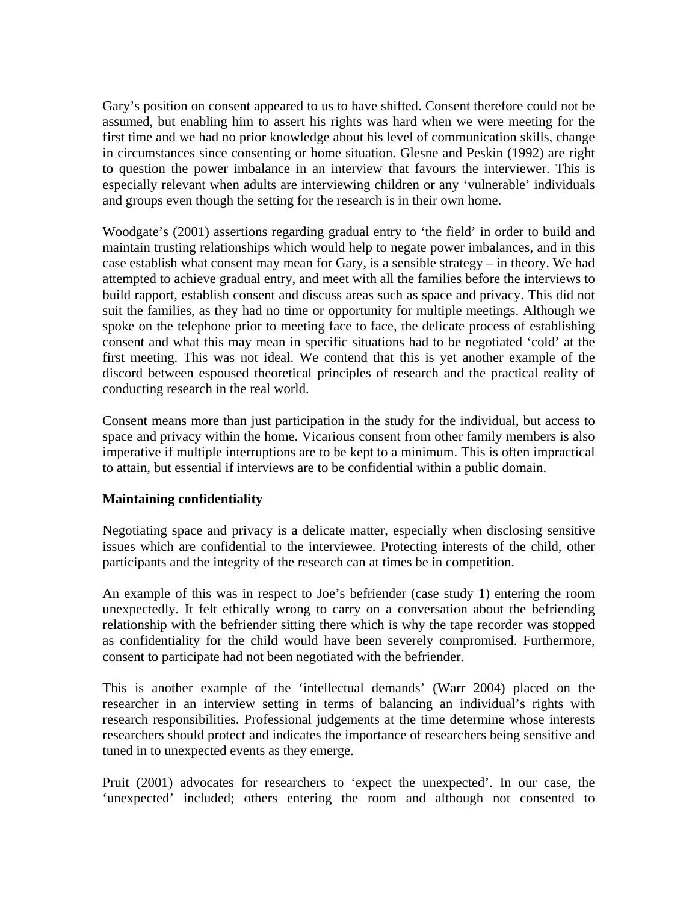Gary's position on consent appeared to us to have shifted. Consent therefore could not be assumed, but enabling him to assert his rights was hard when we were meeting for the first time and we had no prior knowledge about his level of communication skills, change in circumstances since consenting or home situation. Glesne and Peskin (1992) are right to question the power imbalance in an interview that favours the interviewer. This is especially relevant when adults are interviewing children or any 'vulnerable' individuals and groups even though the setting for the research is in their own home.

Woodgate's (2001) assertions regarding gradual entry to 'the field' in order to build and maintain trusting relationships which would help to negate power imbalances, and in this case establish what consent may mean for Gary, is a sensible strategy – in theory. We had attempted to achieve gradual entry, and meet with all the families before the interviews to build rapport, establish consent and discuss areas such as space and privacy. This did not suit the families, as they had no time or opportunity for multiple meetings. Although we spoke on the telephone prior to meeting face to face, the delicate process of establishing consent and what this may mean in specific situations had to be negotiated 'cold' at the first meeting. This was not ideal. We contend that this is yet another example of the discord between espoused theoretical principles of research and the practical reality of conducting research in the real world.

Consent means more than just participation in the study for the individual, but access to space and privacy within the home. Vicarious consent from other family members is also imperative if multiple interruptions are to be kept to a minimum. This is often impractical to attain, but essential if interviews are to be confidential within a public domain.

### **Maintaining confidentiality**

Negotiating space and privacy is a delicate matter, especially when disclosing sensitive issues which are confidential to the interviewee. Protecting interests of the child, other participants and the integrity of the research can at times be in competition.

An example of this was in respect to Joe's befriender (case study 1) entering the room unexpectedly. It felt ethically wrong to carry on a conversation about the befriending relationship with the befriender sitting there which is why the tape recorder was stopped as confidentiality for the child would have been severely compromised. Furthermore, consent to participate had not been negotiated with the befriender.

This is another example of the 'intellectual demands' (Warr 2004) placed on the researcher in an interview setting in terms of balancing an individual's rights with research responsibilities. Professional judgements at the time determine whose interests researchers should protect and indicates the importance of researchers being sensitive and tuned in to unexpected events as they emerge.

Pruit (2001) advocates for researchers to 'expect the unexpected'. In our case, the 'unexpected' included; others entering the room and although not consented to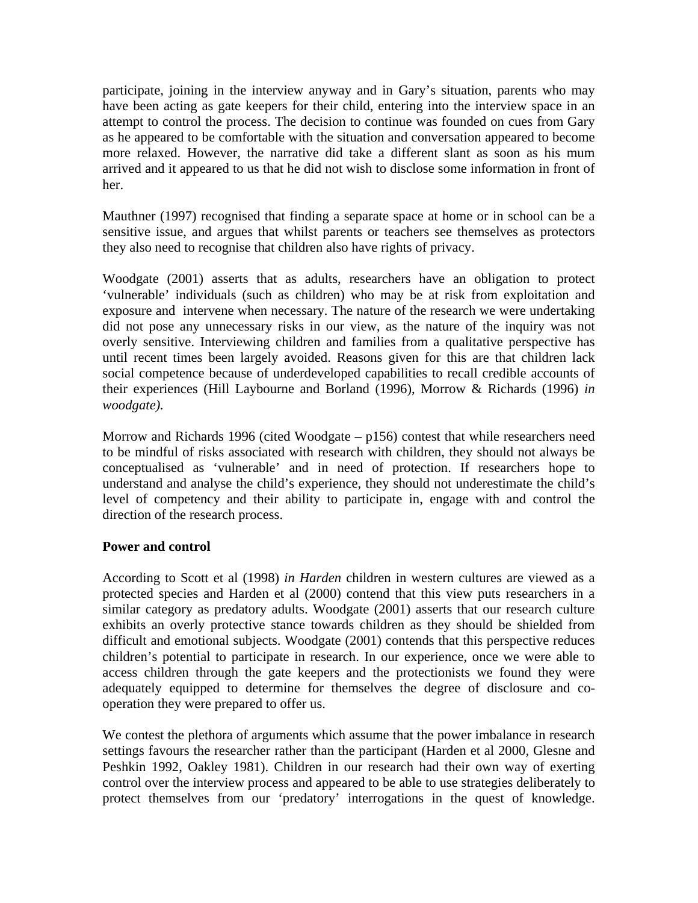participate, joining in the interview anyway and in Gary's situation, parents who may have been acting as gate keepers for their child, entering into the interview space in an attempt to control the process. The decision to continue was founded on cues from Gary as he appeared to be comfortable with the situation and conversation appeared to become more relaxed. However, the narrative did take a different slant as soon as his mum arrived and it appeared to us that he did not wish to disclose some information in front of her.

Mauthner (1997) recognised that finding a separate space at home or in school can be a sensitive issue, and argues that whilst parents or teachers see themselves as protectors they also need to recognise that children also have rights of privacy.

Woodgate (2001) asserts that as adults, researchers have an obligation to protect 'vulnerable' individuals (such as children) who may be at risk from exploitation and exposure and intervene when necessary. The nature of the research we were undertaking did not pose any unnecessary risks in our view, as the nature of the inquiry was not overly sensitive. Interviewing children and families from a qualitative perspective has until recent times been largely avoided. Reasons given for this are that children lack social competence because of underdeveloped capabilities to recall credible accounts of their experiences (Hill Laybourne and Borland (1996), Morrow & Richards (1996) *in woodgate).*

Morrow and Richards 1996 (cited Woodgate – p156) contest that while researchers need to be mindful of risks associated with research with children, they should not always be conceptualised as 'vulnerable' and in need of protection. If researchers hope to understand and analyse the child's experience, they should not underestimate the child's level of competency and their ability to participate in, engage with and control the direction of the research process.

### **Power and control**

According to Scott et al (1998) *in Harden* children in western cultures are viewed as a protected species and Harden et al (2000) contend that this view puts researchers in a similar category as predatory adults. Woodgate (2001) asserts that our research culture exhibits an overly protective stance towards children as they should be shielded from difficult and emotional subjects. Woodgate (2001) contends that this perspective reduces children's potential to participate in research. In our experience, once we were able to access children through the gate keepers and the protectionists we found they were adequately equipped to determine for themselves the degree of disclosure and cooperation they were prepared to offer us.

We contest the plethora of arguments which assume that the power imbalance in research settings favours the researcher rather than the participant (Harden et al 2000, Glesne and Peshkin 1992, Oakley 1981). Children in our research had their own way of exerting control over the interview process and appeared to be able to use strategies deliberately to protect themselves from our 'predatory' interrogations in the quest of knowledge.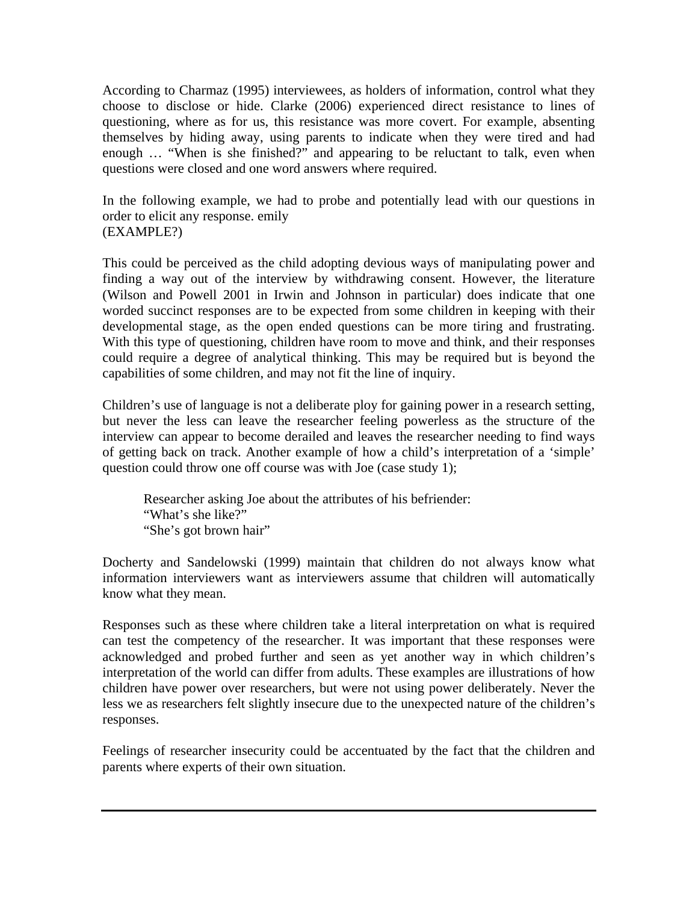According to Charmaz (1995) interviewees, as holders of information, control what they choose to disclose or hide. Clarke (2006) experienced direct resistance to lines of questioning, where as for us, this resistance was more covert. For example, absenting themselves by hiding away, using parents to indicate when they were tired and had enough … "When is she finished?" and appearing to be reluctant to talk, even when questions were closed and one word answers where required.

In the following example, we had to probe and potentially lead with our questions in order to elicit any response. emily (EXAMPLE?)

This could be perceived as the child adopting devious ways of manipulating power and finding a way out of the interview by withdrawing consent. However, the literature (Wilson and Powell 2001 in Irwin and Johnson in particular) does indicate that one worded succinct responses are to be expected from some children in keeping with their developmental stage, as the open ended questions can be more tiring and frustrating. With this type of questioning, children have room to move and think, and their responses could require a degree of analytical thinking. This may be required but is beyond the capabilities of some children, and may not fit the line of inquiry.

Children's use of language is not a deliberate ploy for gaining power in a research setting, but never the less can leave the researcher feeling powerless as the structure of the interview can appear to become derailed and leaves the researcher needing to find ways of getting back on track. Another example of how a child's interpretation of a 'simple' question could throw one off course was with Joe (case study 1);

 Researcher asking Joe about the attributes of his befriender: "What's she like?" "She's got brown hair"

Docherty and Sandelowski (1999) maintain that children do not always know what information interviewers want as interviewers assume that children will automatically know what they mean.

Responses such as these where children take a literal interpretation on what is required can test the competency of the researcher. It was important that these responses were acknowledged and probed further and seen as yet another way in which children's interpretation of the world can differ from adults. These examples are illustrations of how children have power over researchers, but were not using power deliberately. Never the less we as researchers felt slightly insecure due to the unexpected nature of the children's responses.

Feelings of researcher insecurity could be accentuated by the fact that the children and parents where experts of their own situation.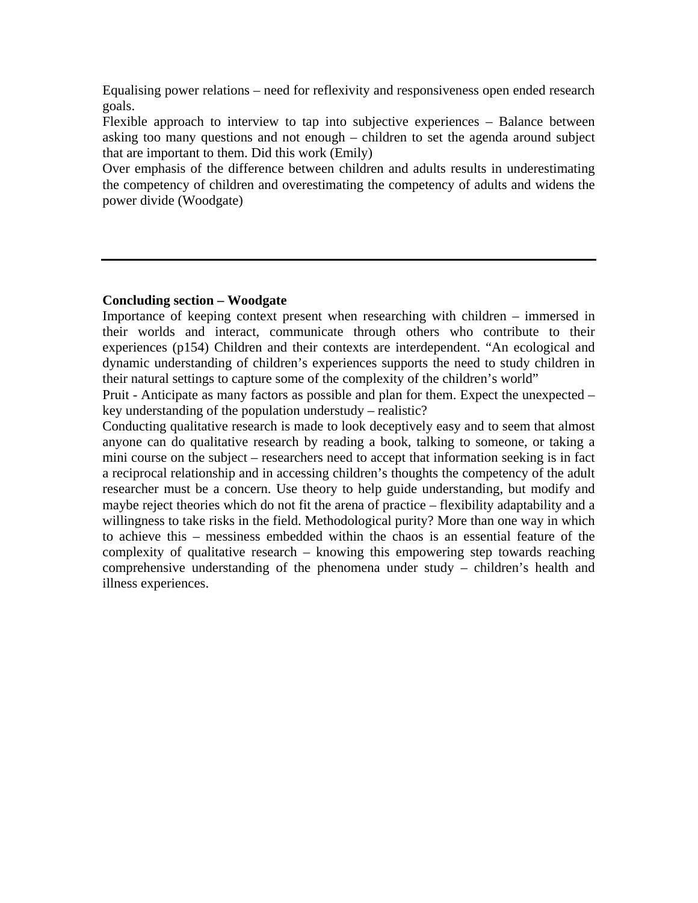Equalising power relations – need for reflexivity and responsiveness open ended research goals.

Flexible approach to interview to tap into subjective experiences – Balance between asking too many questions and not enough – children to set the agenda around subject that are important to them. Did this work (Emily)

Over emphasis of the difference between children and adults results in underestimating the competency of children and overestimating the competency of adults and widens the power divide (Woodgate)

#### **Concluding section – Woodgate**

Importance of keeping context present when researching with children – immersed in their worlds and interact, communicate through others who contribute to their experiences (p154) Children and their contexts are interdependent. "An ecological and dynamic understanding of children's experiences supports the need to study children in their natural settings to capture some of the complexity of the children's world"

Pruit - Anticipate as many factors as possible and plan for them. Expect the unexpected – key understanding of the population understudy – realistic?

Conducting qualitative research is made to look deceptively easy and to seem that almost anyone can do qualitative research by reading a book, talking to someone, or taking a mini course on the subject – researchers need to accept that information seeking is in fact a reciprocal relationship and in accessing children's thoughts the competency of the adult researcher must be a concern. Use theory to help guide understanding, but modify and maybe reject theories which do not fit the arena of practice – flexibility adaptability and a willingness to take risks in the field. Methodological purity? More than one way in which to achieve this – messiness embedded within the chaos is an essential feature of the complexity of qualitative research – knowing this empowering step towards reaching comprehensive understanding of the phenomena under study – children's health and illness experiences.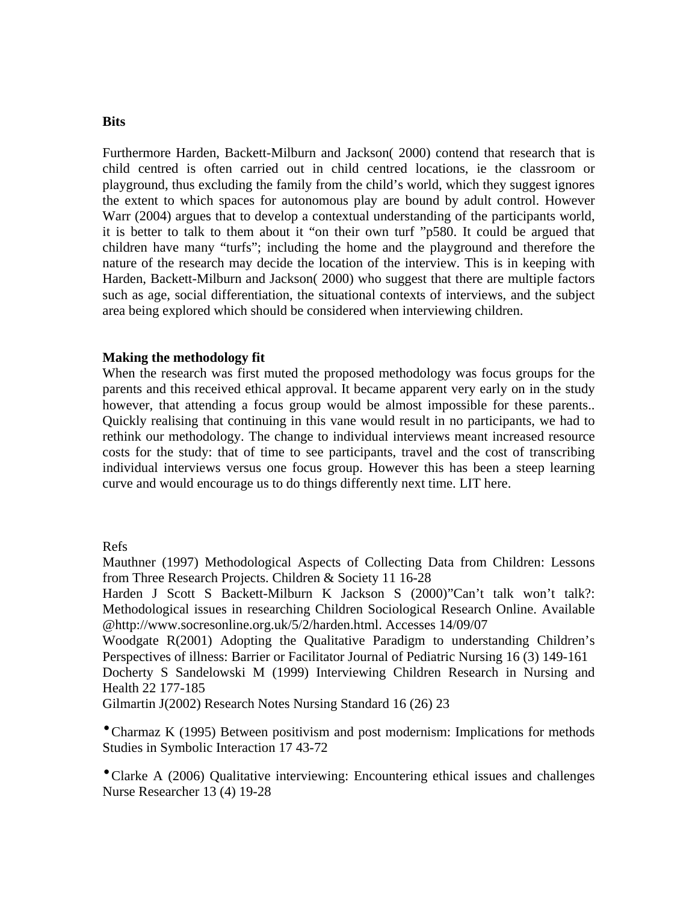#### **Bits**

Furthermore Harden, Backett-Milburn and Jackson( 2000) contend that research that is child centred is often carried out in child centred locations, ie the classroom or playground, thus excluding the family from the child's world, which they suggest ignores the extent to which spaces for autonomous play are bound by adult control. However Warr (2004) argues that to develop a contextual understanding of the participants world, it is better to talk to them about it "on their own turf "p580. It could be argued that children have many "turfs"; including the home and the playground and therefore the nature of the research may decide the location of the interview. This is in keeping with Harden, Backett-Milburn and Jackson( 2000) who suggest that there are multiple factors such as age, social differentiation, the situational contexts of interviews, and the subject area being explored which should be considered when interviewing children.

#### **Making the methodology fit**

When the research was first muted the proposed methodology was focus groups for the parents and this received ethical approval. It became apparent very early on in the study however, that attending a focus group would be almost impossible for these parents.. Quickly realising that continuing in this vane would result in no participants, we had to rethink our methodology. The change to individual interviews meant increased resource costs for the study: that of time to see participants, travel and the cost of transcribing individual interviews versus one focus group. However this has been a steep learning curve and would encourage us to do things differently next time. LIT here.

Refs

Mauthner (1997) Methodological Aspects of Collecting Data from Children: Lessons from Three Research Projects. Children & Society 11 16-28

Harden J Scott S Backett-Milburn K Jackson S (2000)"Can't talk won't talk?: Methodological issues in researching Children Sociological Research Online. Available @http://www.socresonline.org.uk/5/2/harden.html. Accesses 14/09/07

Woodgate R(2001) Adopting the Qualitative Paradigm to understanding Children's Perspectives of illness: Barrier or Facilitator Journal of Pediatric Nursing 16 (3) 149-161 Docherty S Sandelowski M (1999) Interviewing Children Research in Nursing and Health 22 177-185

Gilmartin J(2002) Research Notes Nursing Standard 16 (26) 23

•Charmaz K (1995) Between positivism and post modernism: Implications for methods Studies in Symbolic Interaction 17 43-72

•Clarke A (2006) Qualitative interviewing: Encountering ethical issues and challenges Nurse Researcher 13 (4) 19-28